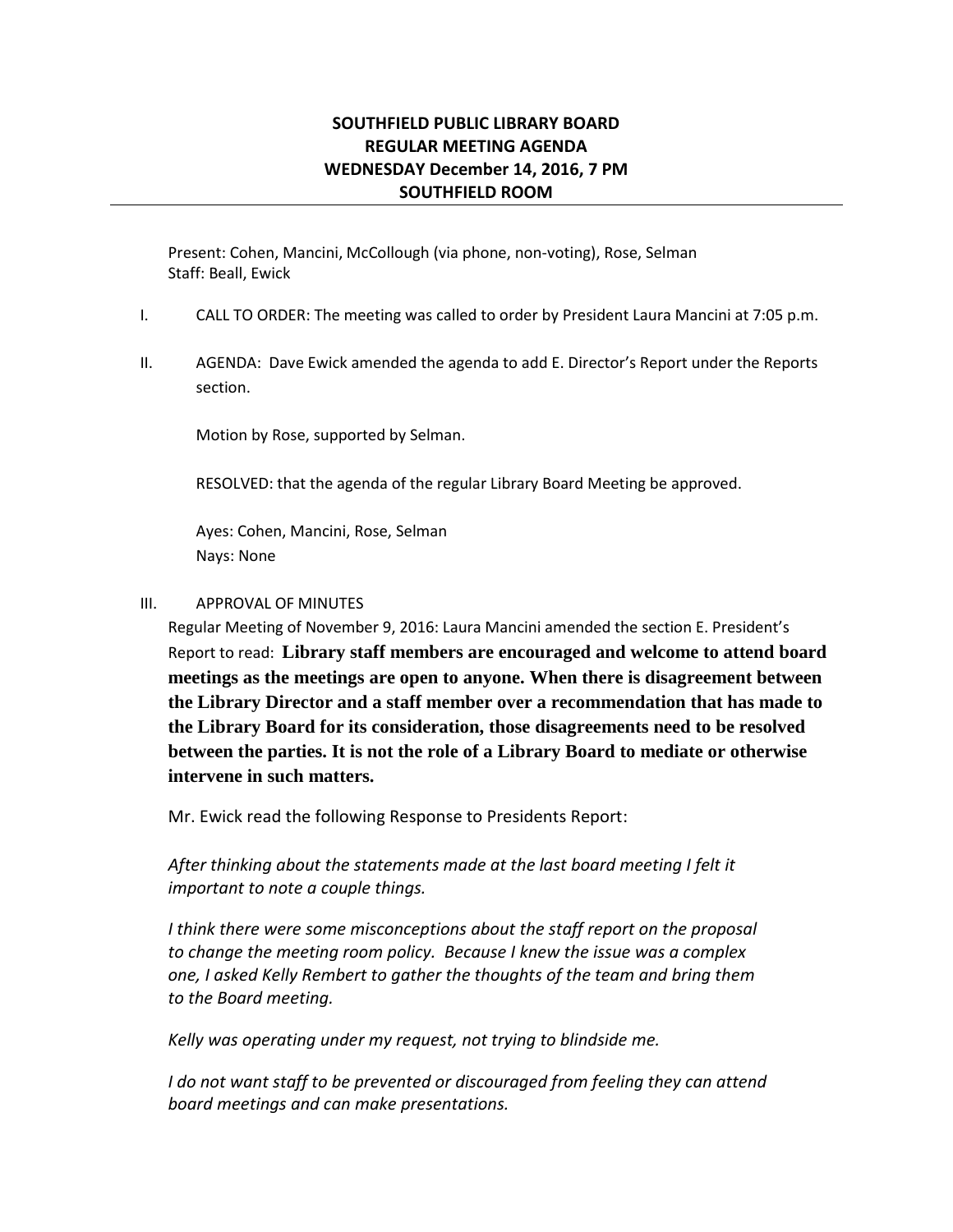## **SOUTHFIELD PUBLIC LIBRARY BOARD REGULAR MEETING AGENDA WEDNESDAY December 14, 2016, 7 PM SOUTHFIELD ROOM**

Present: Cohen, Mancini, McCollough (via phone, non-voting), Rose, Selman Staff: Beall, Ewick

- I. CALL TO ORDER: The meeting was called to order by President Laura Mancini at 7:05 p.m.
- II. AGENDA: Dave Ewick amended the agenda to add E. Director's Report under the Reports section.

Motion by Rose, supported by Selman.

RESOLVED: that the agenda of the regular Library Board Meeting be approved.

Ayes: Cohen, Mancini, Rose, Selman Nays: None

#### III. APPROVAL OF MINUTES

Regular Meeting of November 9, 2016: Laura Mancini amended the section E. President's Report to read: **Library staff members are encouraged and welcome to attend board meetings as the meetings are open to anyone. When there is disagreement between the Library Director and a staff member over a recommendation that has made to the Library Board for its consideration, those disagreements need to be resolved between the parties. It is not the role of a Library Board to mediate or otherwise intervene in such matters.**

Mr. Ewick read the following Response to Presidents Report:

*After thinking about the statements made at the last board meeting I felt it important to note a couple things.*

*I think there were some misconceptions about the staff report on the proposal to change the meeting room policy. Because I knew the issue was a complex one, I asked Kelly Rembert to gather the thoughts of the team and bring them to the Board meeting.*

*Kelly was operating under my request, not trying to blindside me.*

*I* do not want staff to be prevented or discouraged from feeling they can attend *board meetings and can make presentations.*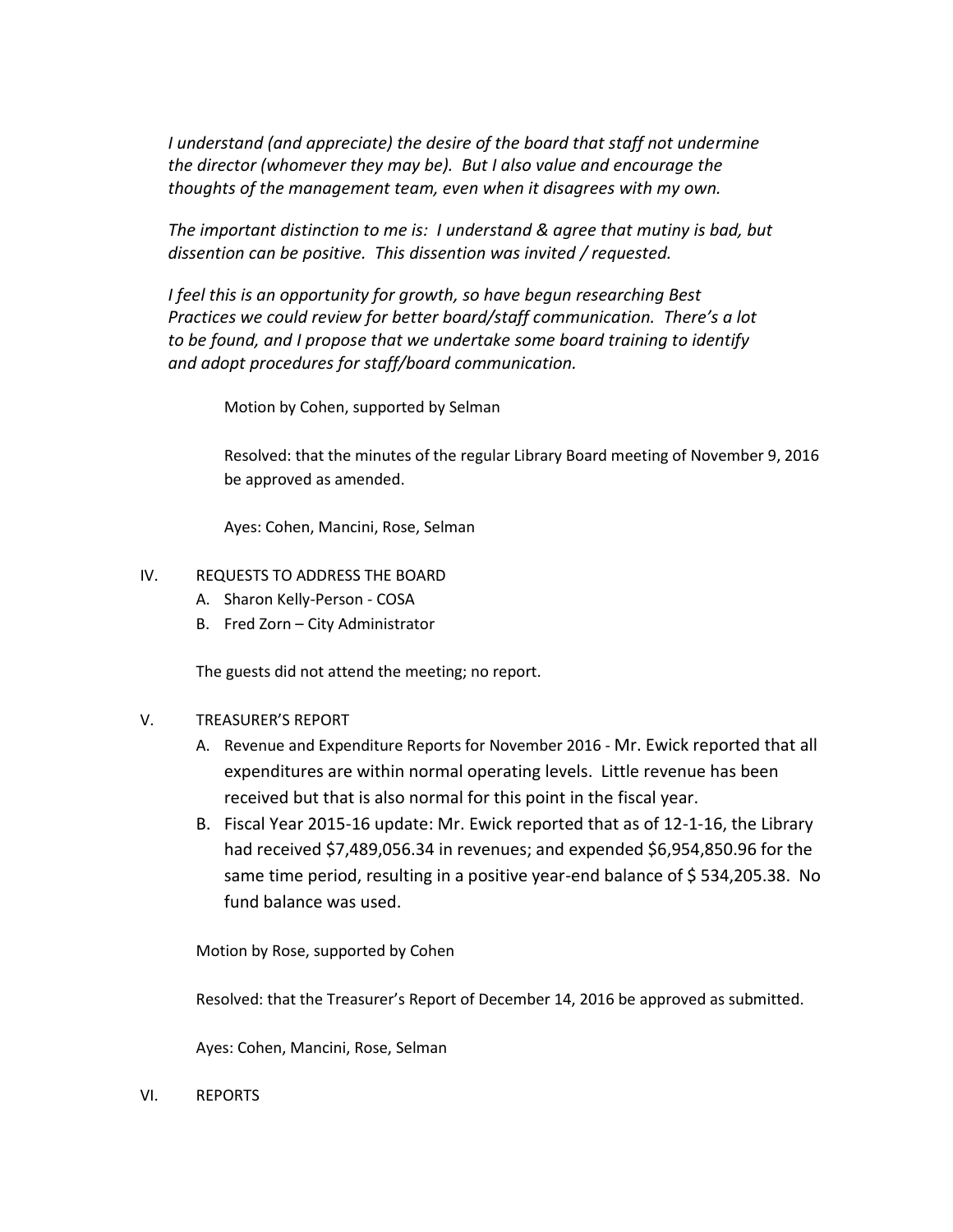*I* understand (and appreciate) the desire of the board that staff not undermine *the director (whomever they may be). But I also value and encourage the thoughts of the management team, even when it disagrees with my own.* 

*The important distinction to me is: I understand & agree that mutiny is bad, but dissention can be positive. This dissention was invited / requested.* 

*I feel this is an opportunity for growth, so have begun researching Best Practices we could review for better board/staff communication. There's a lot to be found, and I propose that we undertake some board training to identify and adopt procedures for staff/board communication.* 

Motion by Cohen, supported by Selman

Resolved: that the minutes of the regular Library Board meeting of November 9, 2016 be approved as amended.

Ayes: Cohen, Mancini, Rose, Selman

#### IV. REQUESTS TO ADDRESS THE BOARD

- A. Sharon Kelly-Person COSA
- B. Fred Zorn City Administrator

The guests did not attend the meeting; no report.

#### V. TREASURER'S REPORT

- A. Revenue and Expenditure Reports for November 2016 Mr. Ewick reported that all expenditures are within normal operating levels. Little revenue has been received but that is also normal for this point in the fiscal year.
- B. Fiscal Year 2015-16 update: Mr. Ewick reported that as of 12-1-16, the Library had received \$7,489,056.34 in revenues; and expended \$6,954,850.96 for the same time period, resulting in a positive year-end balance of \$ 534,205.38. No fund balance was used.

Motion by Rose, supported by Cohen

Resolved: that the Treasurer's Report of December 14, 2016 be approved as submitted.

Ayes: Cohen, Mancini, Rose, Selman

VI. REPORTS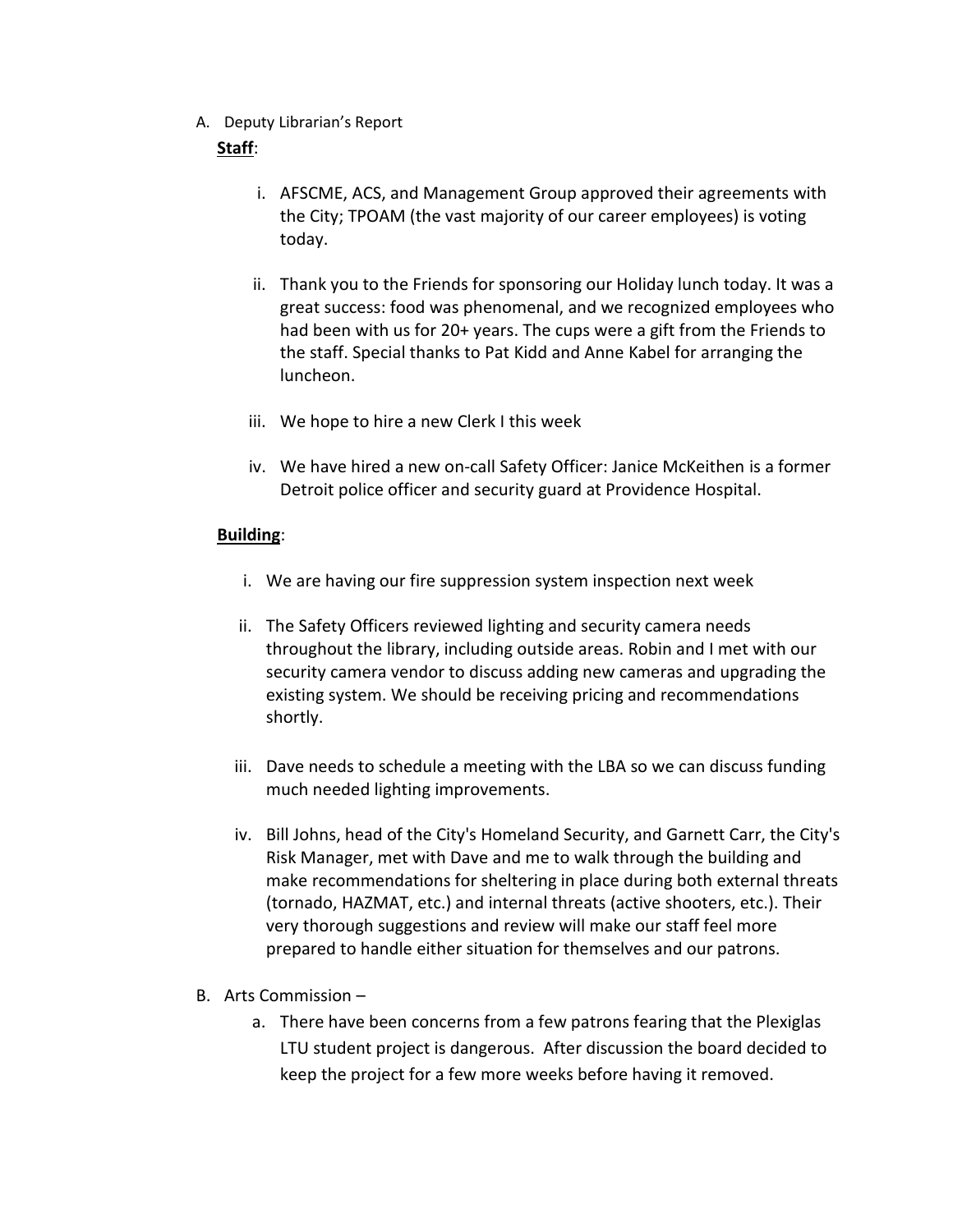A. Deputy Librarian's Report

# **Staff**:

- i. AFSCME, ACS, and Management Group approved their agreements with the City; TPOAM (the vast majority of our career employees) is voting today.
- ii. Thank you to the Friends for sponsoring our Holiday lunch today. It was a great success: food was phenomenal, and we recognized employees who had been with us for 20+ years. The cups were a gift from the Friends to the staff. Special thanks to Pat Kidd and Anne Kabel for arranging the luncheon.
- iii. We hope to hire a new Clerk I this week
- iv. We have hired a new on-call Safety Officer: Janice McKeithen is a former Detroit police officer and security guard at Providence Hospital.

# **Building**:

- i. We are having our fire suppression system inspection next week
- ii. The Safety Officers reviewed lighting and security camera needs throughout the library, including outside areas. Robin and I met with our security camera vendor to discuss adding new cameras and upgrading the existing system. We should be receiving pricing and recommendations shortly.
- iii. Dave needs to schedule a meeting with the LBA so we can discuss funding much needed lighting improvements.
- iv. Bill Johns, head of the City's Homeland Security, and Garnett Carr, the City's Risk Manager, met with Dave and me to walk through the building and make recommendations for sheltering in place during both external threats (tornado, HAZMAT, etc.) and internal threats (active shooters, etc.). Their very thorough suggestions and review will make our staff feel more prepared to handle either situation for themselves and our patrons.
- B. Arts Commission
	- a. There have been concerns from a few patrons fearing that the Plexiglas LTU student project is dangerous. After discussion the board decided to keep the project for a few more weeks before having it removed.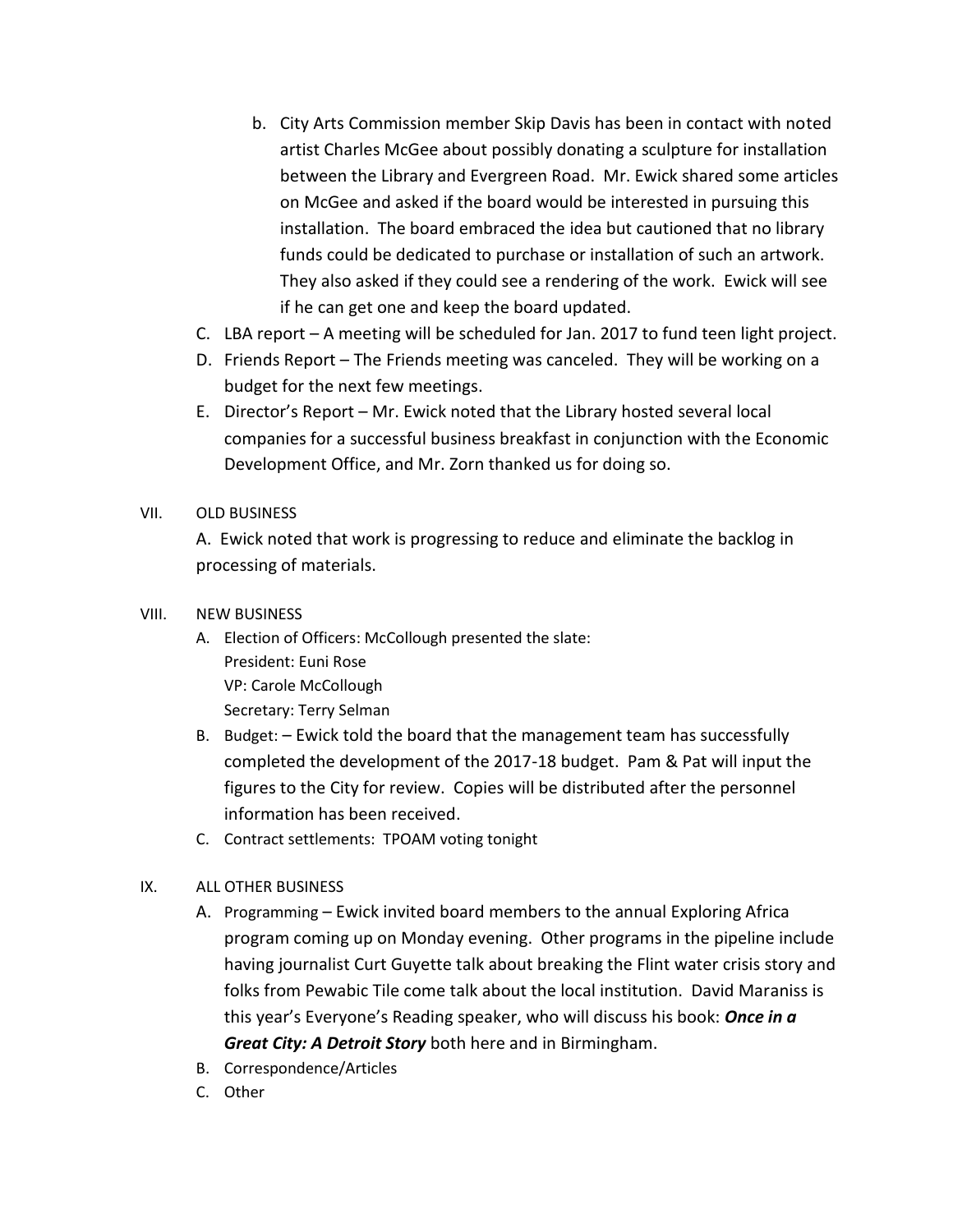- b. City Arts Commission member Skip Davis has been in contact with noted artist Charles McGee about possibly donating a sculpture for installation between the Library and Evergreen Road. Mr. Ewick shared some articles on McGee and asked if the board would be interested in pursuing this installation. The board embraced the idea but cautioned that no library funds could be dedicated to purchase or installation of such an artwork. They also asked if they could see a rendering of the work. Ewick will see if he can get one and keep the board updated.
- C. LBA report A meeting will be scheduled for Jan. 2017 to fund teen light project.
- D. Friends Report The Friends meeting was canceled. They will be working on a budget for the next few meetings.
- E. Director's Report Mr. Ewick noted that the Library hosted several local companies for a successful business breakfast in conjunction with the Economic Development Office, and Mr. Zorn thanked us for doing so.

## VII. OLD BUSINESS

A. Ewick noted that work is progressing to reduce and eliminate the backlog in processing of materials.

#### VIII. NEW BUSINESS

- A. Election of Officers: McCollough presented the slate: President: Euni Rose VP: Carole McCollough Secretary: Terry Selman
- B. Budget: Ewick told the board that the management team has successfully completed the development of the 2017-18 budget. Pam & Pat will input the figures to the City for review. Copies will be distributed after the personnel information has been received.
- C. Contract settlements: TPOAM voting tonight

## IX. ALL OTHER BUSINESS

- A. Programming Ewick invited board members to the annual Exploring Africa program coming up on Monday evening. Other programs in the pipeline include having journalist Curt Guyette talk about breaking the Flint water crisis story and folks from Pewabic Tile come talk about the local institution. David Maraniss is this year's Everyone's Reading speaker, who will discuss his book: *Once in a Great City: A Detroit Story* both here and in Birmingham.
- B. Correspondence/Articles
- C. Other